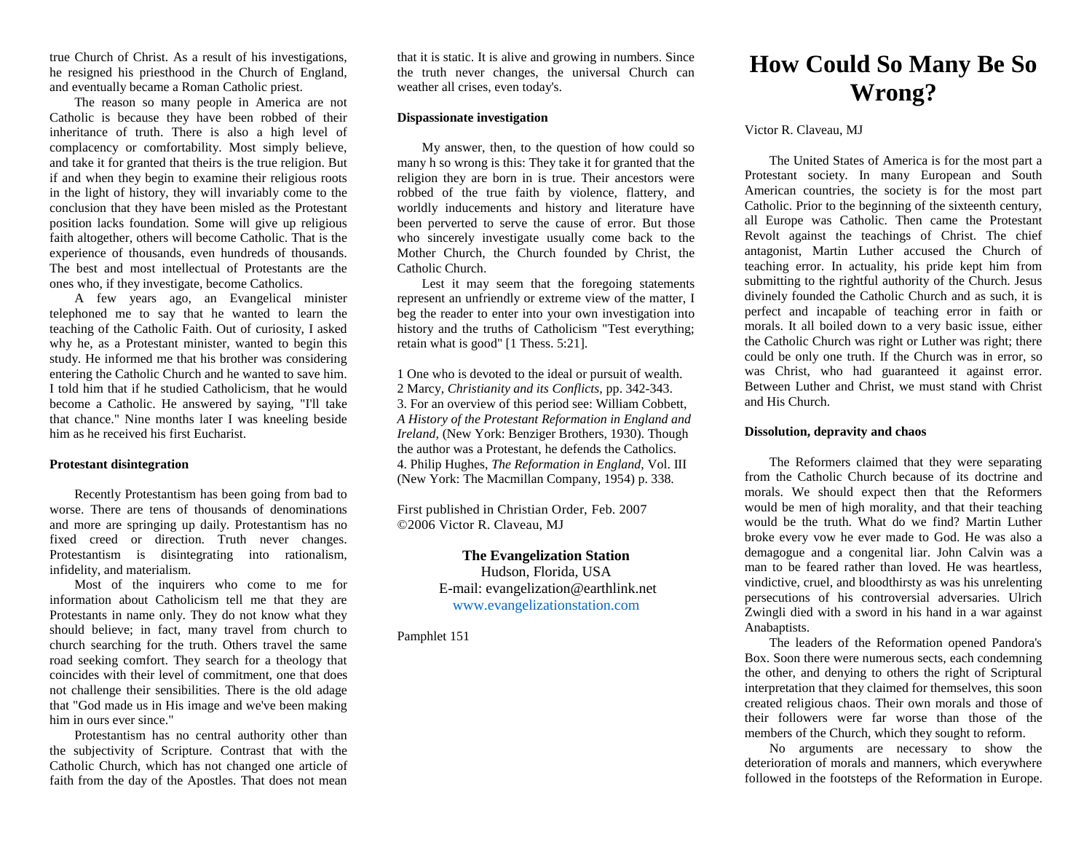true Church of Christ. As a result of his investigations, he resigned his priesthood in the Church of England, and eventually became a Roman Catholic priest.

The reason so many people in America are not Catholic is because they have been robbed of their inheritance of truth. There is also a high level of complacency or comfortability. Most simply believe, and take it for granted that theirs is the true religion. But if and when they begin to examine their religious roots in the light of history, they will invariably come to the conclusion that they have been misled as the Protestant position lacks foundation. Some will give up religious faith altogether, others will become Catholic. That is the experience of thousands, even hundreds of thousands. The best and most intellectual of Protestants are the ones who, if they investigate, become Catholics.

A few years ago, an Evangelical minister telephoned me to say that he wanted to learn the teaching of the Catholic Faith. Out of curiosity, I asked why he, as a Protestant minister, wanted to begin this study. He informed me that his brother was considering entering the Catholic Church and he wanted to save him. I told him that if he studied Catholicism, that he would become a Catholic. He answered by saying, "I'll take that chance." Nine months later I was kneeling beside him as he received his first Eucharist.

## **Protestant disintegration**

Recently Protestantism has been going from bad to worse. There are tens of thousands of denominations and more are springing up daily. Protestantism has no fixed creed or direction. Truth never changes. Protestantism is disintegrating into rationalism, infidelity, and materialism.

Most of the inquirers who come to me for information about Catholicism tell me that they are Protestants in name only. They do not know what they should believe; in fact, many travel from church to church searching for the truth. Others travel the same road seeking comfort. They search for a theology that coincides with their level of commitment, one that does not challenge their sensibilities. There is the old adage that "God made us in His image and we've been making him in ours ever since."

Protestantism has no central authority other than the subjectivity of Scripture. Contrast that with the Catholic Church, which has not changed one article of faith from the day of the Apostles. That does not mean

that it is static. It is alive and growing in numbers. Since the truth never changes, the universal Church can weather all crises, even today's.

## **Dispassionate investigation**

My answer, then, to the question of how could so many h so wrong is this: They take it for granted that the religion they are born in is true. Their ancestors were robbed of the true faith by violence, flattery, and worldly inducements and history and literature have been perverted to serve the cause of error. But those who sincerely investigate usually come back to the Mother Church, the Church founded by Christ, the Catholic Church.

Lest it may seem that the foregoing statements represent an unfriendly or extreme view of the matter, I beg the reader to enter into your own investigation into history and the truths of Catholicism "Test everything; retain what is good" [1 Thess. 5:21].

1 One who is devoted to the ideal or pursuit of wealth. 2 Marcy, *Christianity and its Conflicts,* pp. 342-343. 3. For an overview of this period see: William Cobbett, *A History of the Protestant Reformation in England and Ireland,* (New York: Benziger Brothers, 1930). Though the author was a Protestant, he defends the Catholics. 4. Philip Hughes, *The Reformation in England,* Vol. III (New York: The Macmillan Company, 1954) p. 338.

First published in Christian Order, Feb. 2007 ©2006 Victor R. Claveau, MJ

# **The Evangelization Station**

Hudson, Florida, USA E-mail: evangelization@earthlink.net [www.evangelizationstation.com](http://www.pjpiisoe.org/)

Pamphlet 151

# **How Could So Many Be So Wrong?**

### Victor R. Claveau, MJ

The United States of America is for the most part a Protestant society. In many European and South American countries, the society is for the most part Catholic. Prior to the beginning of the sixteenth century, all Europe was Catholic. Then came the Protestant Revolt against the teachings of Christ. The chief antagonist, Martin Luther accused the Church of teaching error. In actuality, his pride kept him from submitting to the rightful authority of the Church. Jesus divinely founded the Catholic Church and as such, it is perfect and incapable of teaching error in faith or morals. It all boiled down to a very basic issue, either the Catholic Church was right or Luther was right; there could be only one truth. If the Church was in error, so was Christ, who had guaranteed it against error. Between Luther and Christ, we must stand with Christ and His Church.

### **Dissolution, depravity and chaos**

The Reformers claimed that they were separating from the Catholic Church because of its doctrine and morals. We should expect then that the Reformers would be men of high morality, and that their teaching would be the truth. What do we find? Martin Luther broke every vow he ever made to God. He was also a demagogue and a congenital liar. John Calvin was a man to be feared rather than loved. He was heartless, vindictive, cruel, and bloodthirsty as was his unrelenting persecutions of his controversial adversaries. Ulrich Zwingli died with a sword in his hand in a war against Anabaptists.

The leaders of the Reformation opened Pandora's Box. Soon there were numerous sects, each condemning the other, and denying to others the right of Scriptural interpretation that they claimed for themselves, this soon created religious chaos. Their own morals and those of their followers were far worse than those of the members of the Church, which they sought to reform.

No arguments are necessary to show the deterioration of morals and manners, which everywhere followed in the footsteps of the Reformation in Europe.